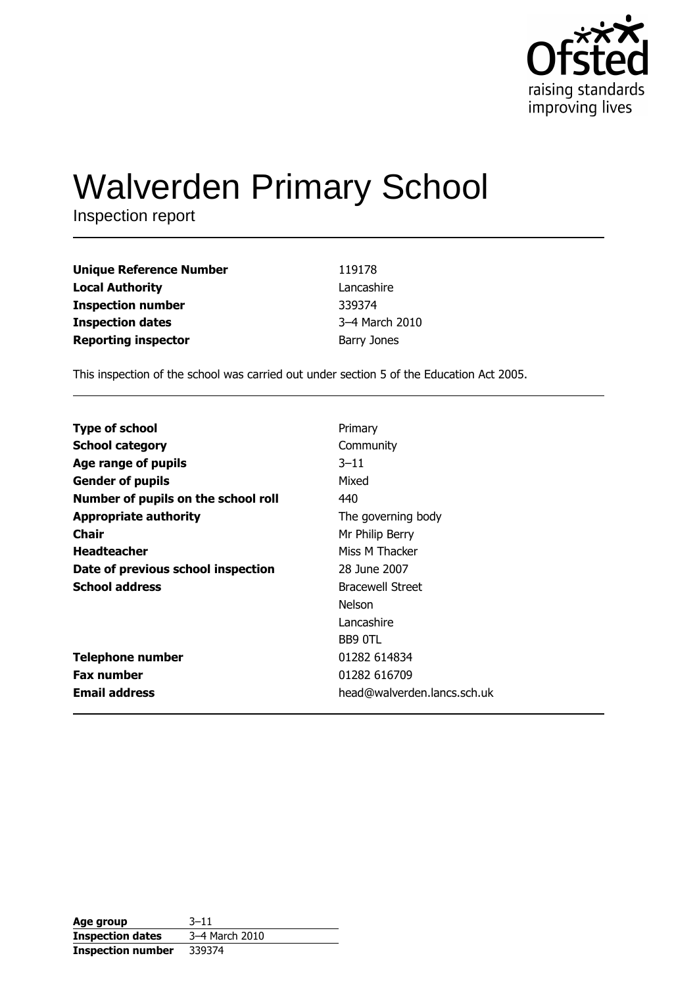

# **Walverden Primary School**

Inspection report

| <b>Unique Reference Number</b> | 119178         |
|--------------------------------|----------------|
| <b>Local Authority</b>         | Lancashire     |
| <b>Inspection number</b>       | 339374         |
| <b>Inspection dates</b>        | 3-4 March 2010 |
| <b>Reporting inspector</b>     | Barry Jones    |

This inspection of the school was carried out under section 5 of the Education Act 2005.

| <b>Type of school</b>               | Primary                     |
|-------------------------------------|-----------------------------|
| <b>School category</b>              | Community                   |
| Age range of pupils                 | $3 - 11$                    |
| <b>Gender of pupils</b>             | Mixed                       |
| Number of pupils on the school roll | 440                         |
| <b>Appropriate authority</b>        | The governing body          |
| Chair                               | Mr Philip Berry             |
| <b>Headteacher</b>                  | Miss M Thacker              |
| Date of previous school inspection  | 28 June 2007                |
| <b>School address</b>               | <b>Bracewell Street</b>     |
|                                     | Nelson                      |
|                                     | Lancashire                  |
|                                     | BB9 OTL                     |
| <b>Telephone number</b>             | 01282 614834                |
| <b>Fax number</b>                   | 01282 616709                |
| <b>Email address</b>                | head@walverden.lancs.sch.uk |

| Age group                | $3 - 11$       |
|--------------------------|----------------|
| <b>Inspection dates</b>  | 3-4 March 2010 |
| <b>Inspection number</b> | 339374         |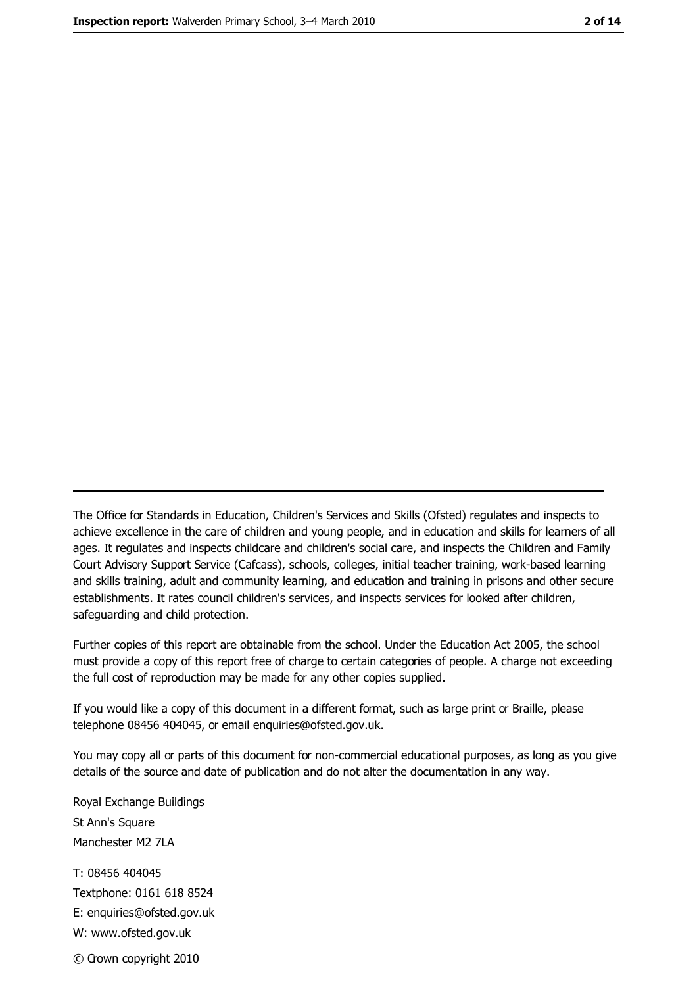The Office for Standards in Education, Children's Services and Skills (Ofsted) regulates and inspects to achieve excellence in the care of children and young people, and in education and skills for learners of all ages. It regulates and inspects childcare and children's social care, and inspects the Children and Family Court Advisory Support Service (Cafcass), schools, colleges, initial teacher training, work-based learning and skills training, adult and community learning, and education and training in prisons and other secure establishments. It rates council children's services, and inspects services for looked after children, safequarding and child protection.

Further copies of this report are obtainable from the school. Under the Education Act 2005, the school must provide a copy of this report free of charge to certain categories of people. A charge not exceeding the full cost of reproduction may be made for any other copies supplied.

If you would like a copy of this document in a different format, such as large print or Braille, please telephone 08456 404045, or email enquiries@ofsted.gov.uk.

You may copy all or parts of this document for non-commercial educational purposes, as long as you give details of the source and date of publication and do not alter the documentation in any way.

Royal Exchange Buildings St Ann's Square Manchester M2 7LA T: 08456 404045 Textphone: 0161 618 8524 E: enquiries@ofsted.gov.uk W: www.ofsted.gov.uk © Crown copyright 2010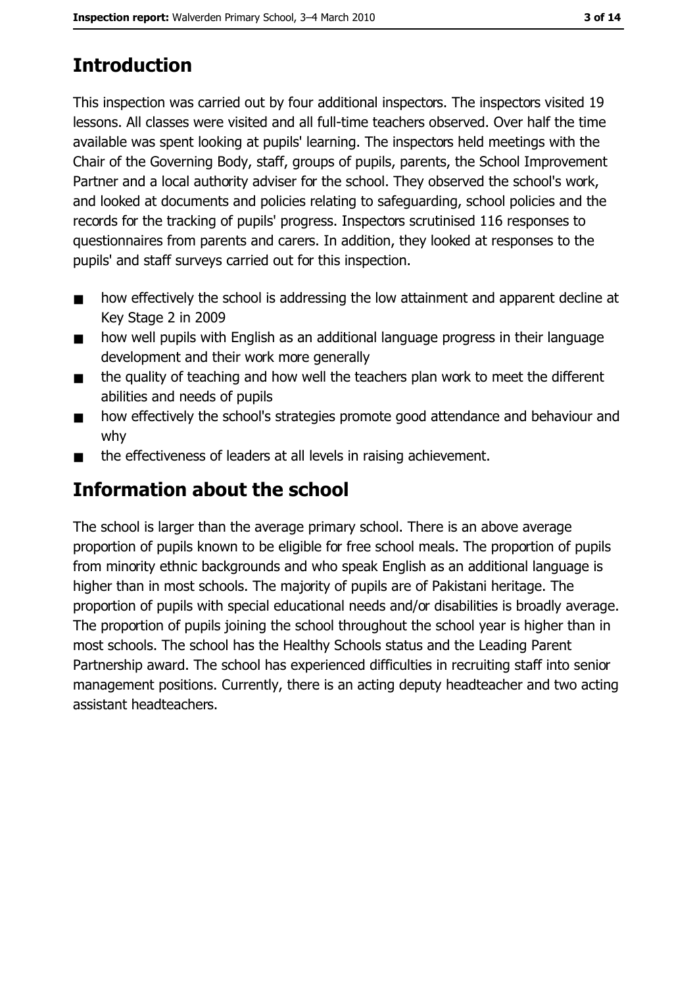# **Introduction**

This inspection was carried out by four additional inspectors. The inspectors visited 19 lessons. All classes were visited and all full-time teachers observed. Over half the time available was spent looking at pupils' learning. The inspectors held meetings with the Chair of the Governing Body, staff, groups of pupils, parents, the School Improvement Partner and a local authority adviser for the school. They observed the school's work, and looked at documents and policies relating to safeguarding, school policies and the records for the tracking of pupils' progress. Inspectors scrutinised 116 responses to questionnaires from parents and carers. In addition, they looked at responses to the pupils' and staff surveys carried out for this inspection.

- how effectively the school is addressing the low attainment and apparent decline at  $\blacksquare$ Key Stage 2 in 2009
- how well pupils with English as an additional language progress in their language  $\blacksquare$ development and their work more generally
- the quality of teaching and how well the teachers plan work to meet the different  $\blacksquare$ abilities and needs of pupils
- how effectively the school's strategies promote good attendance and behaviour and  $\blacksquare$ why
- the effectiveness of leaders at all levels in raising achievement.  $\blacksquare$

# **Information about the school**

The school is larger than the average primary school. There is an above average proportion of pupils known to be eligible for free school meals. The proportion of pupils from minority ethnic backgrounds and who speak English as an additional language is higher than in most schools. The majority of pupils are of Pakistani heritage. The proportion of pupils with special educational needs and/or disabilities is broadly average. The proportion of pupils joining the school throughout the school year is higher than in most schools. The school has the Healthy Schools status and the Leading Parent Partnership award. The school has experienced difficulties in recruiting staff into senior management positions. Currently, there is an acting deputy headteacher and two acting assistant headteachers.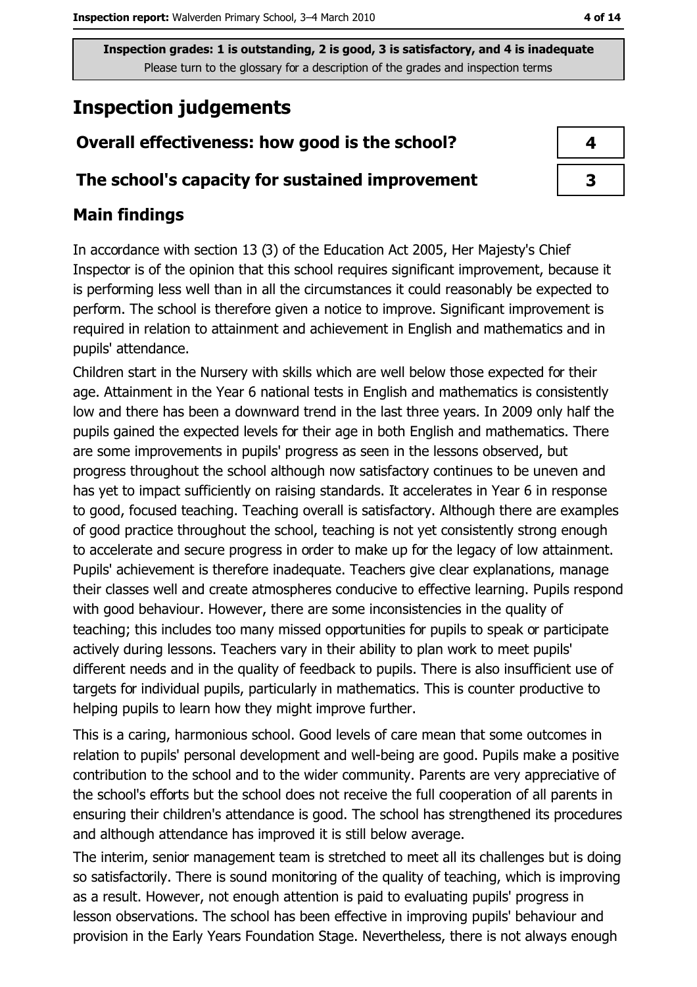# **Inspection judgements**

# Overall effectiveness: how good is the school?

### The school's capacity for sustained improvement

## **Main findings**

In accordance with section 13 (3) of the Education Act 2005, Her Majesty's Chief Inspector is of the opinion that this school requires significant improvement, because it is performing less well than in all the circumstances it could reasonably be expected to perform. The school is therefore given a notice to improve. Significant improvement is required in relation to attainment and achievement in English and mathematics and in pupils' attendance.

Children start in the Nursery with skills which are well below those expected for their age. Attainment in the Year 6 national tests in English and mathematics is consistently low and there has been a downward trend in the last three years. In 2009 only half the pupils gained the expected levels for their age in both English and mathematics. There are some improvements in pupils' progress as seen in the lessons observed, but progress throughout the school although now satisfactory continues to be uneven and has yet to impact sufficiently on raising standards. It accelerates in Year 6 in response to good, focused teaching. Teaching overall is satisfactory. Although there are examples of good practice throughout the school, teaching is not yet consistently strong enough to accelerate and secure progress in order to make up for the legacy of low attainment. Pupils' achievement is therefore inadequate. Teachers give clear explanations, manage their classes well and create atmospheres conducive to effective learning. Pupils respond with good behaviour. However, there are some inconsistencies in the quality of teaching; this includes too many missed opportunities for pupils to speak or participate actively during lessons. Teachers vary in their ability to plan work to meet pupils' different needs and in the quality of feedback to pupils. There is also insufficient use of targets for individual pupils, particularly in mathematics. This is counter productive to helping pupils to learn how they might improve further.

This is a caring, harmonious school. Good levels of care mean that some outcomes in relation to pupils' personal development and well-being are good. Pupils make a positive contribution to the school and to the wider community. Parents are very appreciative of the school's efforts but the school does not receive the full cooperation of all parents in ensuring their children's attendance is good. The school has strengthened its procedures and although attendance has improved it is still below average.

The interim, senior management team is stretched to meet all its challenges but is doing so satisfactorily. There is sound monitoring of the quality of teaching, which is improving as a result. However, not enough attention is paid to evaluating pupils' progress in lesson observations. The school has been effective in improving pupils' behaviour and provision in the Early Years Foundation Stage. Nevertheless, there is not always enough

| 4 |
|---|
| 3 |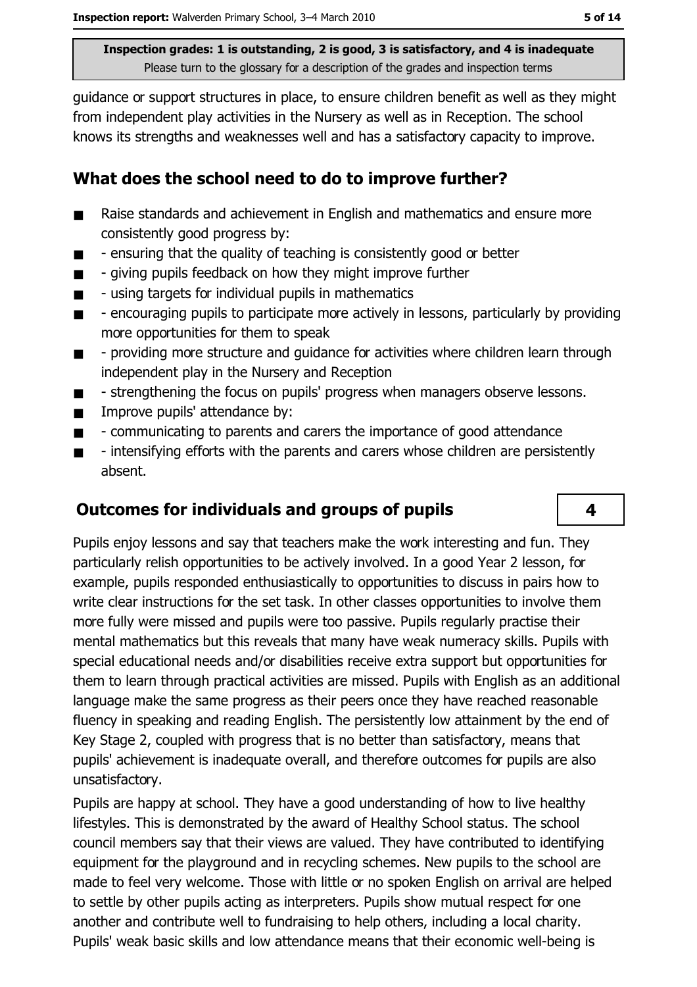quidance or support structures in place, to ensure children benefit as well as they might from independent play activities in the Nursery as well as in Reception. The school knows its strengths and weaknesses well and has a satisfactory capacity to improve.

## What does the school need to do to improve further?

- Raise standards and achievement in English and mathematics and ensure more  $\blacksquare$ consistently good progress by:
- ensuring that the quality of teaching is consistently good or better  $\blacksquare$
- giving pupils feedback on how they might improve further  $\blacksquare$
- using targets for individual pupils in mathematics  $\blacksquare$
- $\blacksquare$ - encouraging pupils to participate more actively in lessons, particularly by providing more opportunities for them to speak
- providing more structure and quidance for activities where children learn through  $\blacksquare$ independent play in the Nursery and Reception
- strengthening the focus on pupils' progress when managers observe lessons.  $\blacksquare$
- Improve pupils' attendance by:  $\blacksquare$
- communicating to parents and carers the importance of good attendance  $\blacksquare$
- intensifying efforts with the parents and carers whose children are persistently  $\blacksquare$ absent.

#### **Outcomes for individuals and groups of pupils**

Pupils enjoy lessons and say that teachers make the work interesting and fun. They particularly relish opportunities to be actively involved. In a good Year 2 lesson, for example, pupils responded enthusiastically to opportunities to discuss in pairs how to write clear instructions for the set task. In other classes opportunities to involve them more fully were missed and pupils were too passive. Pupils regularly practise their mental mathematics but this reveals that many have weak numeracy skills. Pupils with special educational needs and/or disabilities receive extra support but opportunities for them to learn through practical activities are missed. Pupils with English as an additional language make the same progress as their peers once they have reached reasonable fluency in speaking and reading English. The persistently low attainment by the end of Key Stage 2, coupled with progress that is no better than satisfactory, means that pupils' achievement is inadequate overall, and therefore outcomes for pupils are also unsatisfactory.

Pupils are happy at school. They have a good understanding of how to live healthy lifestyles. This is demonstrated by the award of Healthy School status. The school council members say that their views are valued. They have contributed to identifying equipment for the playground and in recycling schemes. New pupils to the school are made to feel very welcome. Those with little or no spoken English on arrival are helped to settle by other pupils acting as interpreters. Pupils show mutual respect for one another and contribute well to fundraising to help others, including a local charity. Pupils' weak basic skills and low attendance means that their economic well-being is

4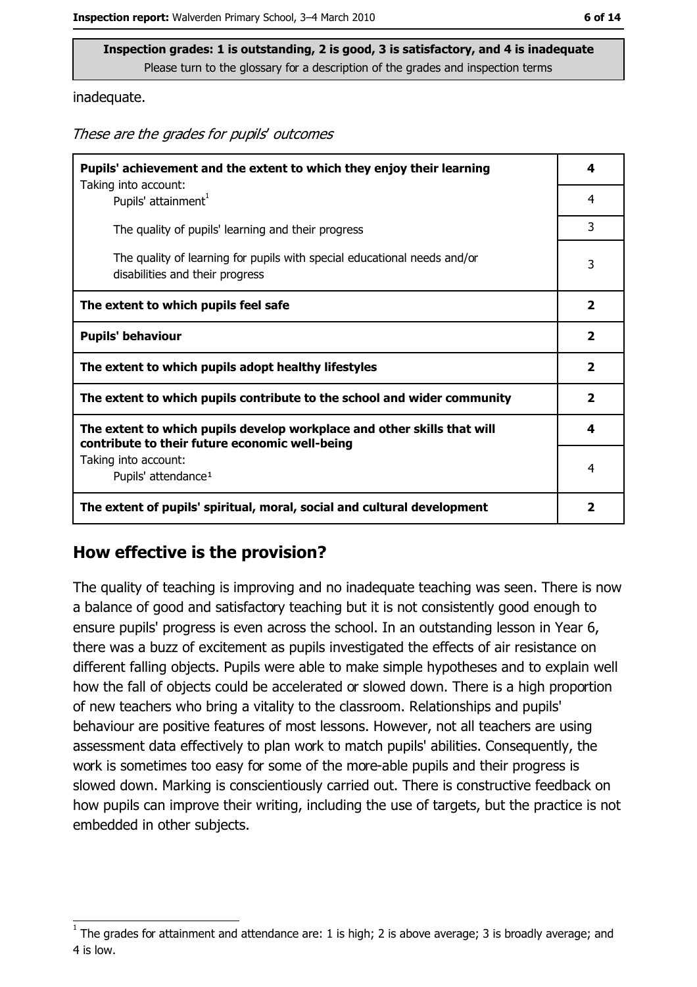inadequate.

These are the grades for pupils' outcomes

| Pupils' achievement and the extent to which they enjoy their learning<br>Taking into account:                             | 4                       |
|---------------------------------------------------------------------------------------------------------------------------|-------------------------|
| Pupils' attainment <sup>1</sup>                                                                                           | 4                       |
| The quality of pupils' learning and their progress                                                                        | 3                       |
| The quality of learning for pupils with special educational needs and/or<br>disabilities and their progress               | 3                       |
| The extent to which pupils feel safe                                                                                      | 2                       |
| <b>Pupils' behaviour</b>                                                                                                  | $\overline{\mathbf{2}}$ |
| The extent to which pupils adopt healthy lifestyles                                                                       | $\overline{\mathbf{2}}$ |
| The extent to which pupils contribute to the school and wider community                                                   | $\overline{\mathbf{2}}$ |
| The extent to which pupils develop workplace and other skills that will<br>contribute to their future economic well-being | 4                       |
| Taking into account:<br>Pupils' attendance <sup>1</sup>                                                                   | 4                       |
| The extent of pupils' spiritual, moral, social and cultural development                                                   | $\overline{\mathbf{2}}$ |

#### How effective is the provision?

The quality of teaching is improving and no inadequate teaching was seen. There is now a balance of good and satisfactory teaching but it is not consistently good enough to ensure pupils' progress is even across the school. In an outstanding lesson in Year 6, there was a buzz of excitement as pupils investigated the effects of air resistance on different falling objects. Pupils were able to make simple hypotheses and to explain well how the fall of objects could be accelerated or slowed down. There is a high proportion of new teachers who bring a vitality to the classroom. Relationships and pupils' behaviour are positive features of most lessons. However, not all teachers are using assessment data effectively to plan work to match pupils' abilities. Consequently, the work is sometimes too easy for some of the more-able pupils and their progress is slowed down. Marking is conscientiously carried out. There is constructive feedback on how pupils can improve their writing, including the use of targets, but the practice is not embedded in other subjects.

The grades for attainment and attendance are: 1 is high; 2 is above average; 3 is broadly average; and 4 is low.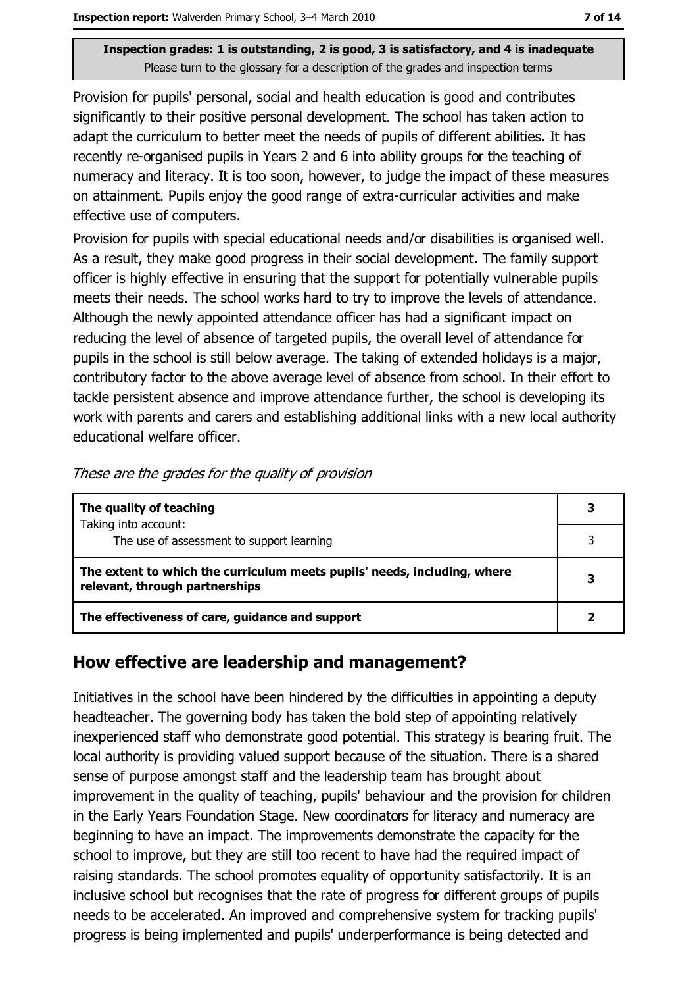Provision for pupils' personal, social and health education is good and contributes significantly to their positive personal development. The school has taken action to adapt the curriculum to better meet the needs of pupils of different abilities. It has recently re-organised pupils in Years 2 and 6 into ability groups for the teaching of numeracy and literacy. It is too soon, however, to judge the impact of these measures on attainment. Pupils enjoy the good range of extra-curricular activities and make effective use of computers.

Provision for pupils with special educational needs and/or disabilities is organised well. As a result, they make good progress in their social development. The family support officer is highly effective in ensuring that the support for potentially vulnerable pupils meets their needs. The school works hard to try to improve the levels of attendance. Although the newly appointed attendance officer has had a significant impact on reducing the level of absence of targeted pupils, the overall level of attendance for pupils in the school is still below average. The taking of extended holidays is a major, contributory factor to the above average level of absence from school. In their effort to tackle persistent absence and improve attendance further, the school is developing its work with parents and carers and establishing additional links with a new local authority educational welfare officer.

| The quality of teaching                                                                                    |  |
|------------------------------------------------------------------------------------------------------------|--|
| Taking into account:<br>The use of assessment to support learning                                          |  |
| The extent to which the curriculum meets pupils' needs, including, where<br>relevant, through partnerships |  |
| The effectiveness of care, guidance and support                                                            |  |

These are the grades for the quality of provision

## How effective are leadership and management?

Initiatives in the school have been hindered by the difficulties in appointing a deputy headteacher. The governing body has taken the bold step of appointing relatively inexperienced staff who demonstrate good potential. This strategy is bearing fruit. The local authority is providing valued support because of the situation. There is a shared sense of purpose amongst staff and the leadership team has brought about improvement in the quality of teaching, pupils' behaviour and the provision for children in the Early Years Foundation Stage. New coordinators for literacy and numeracy are beginning to have an impact. The improvements demonstrate the capacity for the school to improve, but they are still too recent to have had the required impact of raising standards. The school promotes equality of opportunity satisfactorily. It is an inclusive school but recognises that the rate of progress for different groups of pupils needs to be accelerated. An improved and comprehensive system for tracking pupils' progress is being implemented and pupils' underperformance is being detected and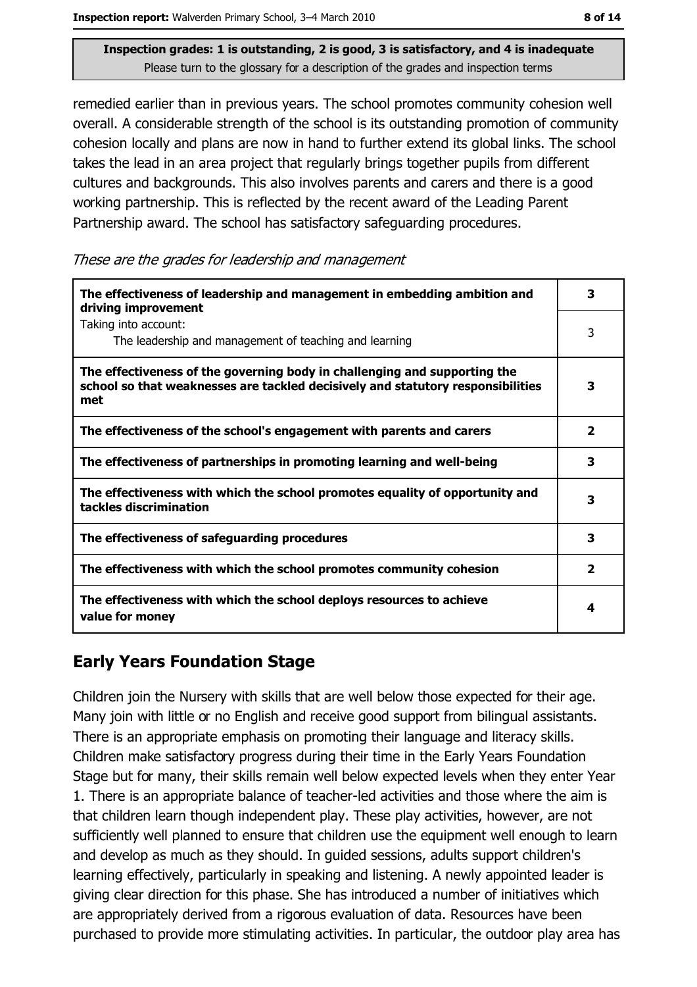Inspection report: Walverden Primary School, 3-4 March 2010

Inspection grades: 1 is outstanding, 2 is good, 3 is satisfactory, and 4 is inadequate Please turn to the glossary for a description of the grades and inspection terms

remedied earlier than in previous years. The school promotes community cohesion well overall. A considerable strength of the school is its outstanding promotion of community cohesion locally and plans are now in hand to further extend its global links. The school takes the lead in an area project that regularly brings together pupils from different cultures and backgrounds. This also involves parents and carers and there is a good working partnership. This is reflected by the recent award of the Leading Parent Partnership award. The school has satisfactory safeguarding procedures.

These are the grades for leadership and management

| The effectiveness of leadership and management in embedding ambition and<br>driving improvement                                                                     | 3                       |
|---------------------------------------------------------------------------------------------------------------------------------------------------------------------|-------------------------|
| Taking into account:<br>The leadership and management of teaching and learning                                                                                      | 3                       |
| The effectiveness of the governing body in challenging and supporting the<br>school so that weaknesses are tackled decisively and statutory responsibilities<br>met | 3                       |
| The effectiveness of the school's engagement with parents and carers                                                                                                | $\overline{\mathbf{2}}$ |
| The effectiveness of partnerships in promoting learning and well-being                                                                                              | 3                       |
| The effectiveness with which the school promotes equality of opportunity and<br>tackles discrimination                                                              | 3                       |
| The effectiveness of safeguarding procedures                                                                                                                        | 3                       |
| The effectiveness with which the school promotes community cohesion                                                                                                 | $\overline{\mathbf{2}}$ |
| The effectiveness with which the school deploys resources to achieve<br>value for money                                                                             | 4                       |

# **Early Years Foundation Stage**

Children join the Nursery with skills that are well below those expected for their age. Many join with little or no English and receive good support from bilingual assistants. There is an appropriate emphasis on promoting their language and literacy skills. Children make satisfactory progress during their time in the Early Years Foundation Stage but for many, their skills remain well below expected levels when they enter Year 1. There is an appropriate balance of teacher-led activities and those where the aim is that children learn though independent play. These play activities, however, are not sufficiently well planned to ensure that children use the equipment well enough to learn and develop as much as they should. In quided sessions, adults support children's learning effectively, particularly in speaking and listening. A newly appointed leader is giving clear direction for this phase. She has introduced a number of initiatives which are appropriately derived from a rigorous evaluation of data. Resources have been purchased to provide more stimulating activities. In particular, the outdoor play area has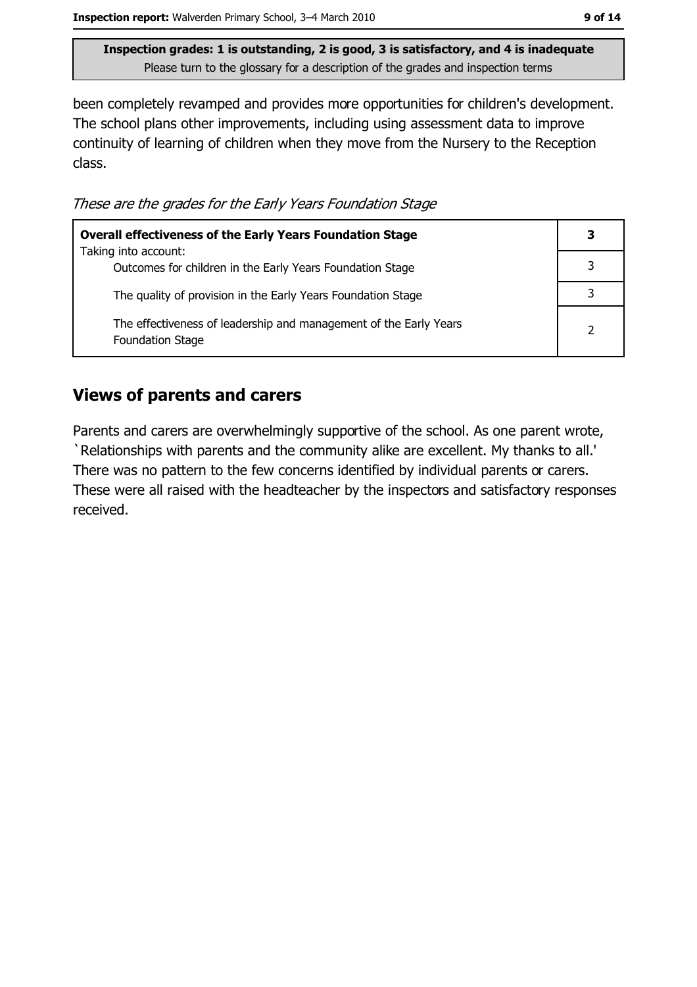been completely revamped and provides more opportunities for children's development. The school plans other improvements, including using assessment data to improve continuity of learning of children when they move from the Nursery to the Reception class.

These are the grades for the Early Years Foundation Stage

| <b>Overall effectiveness of the Early Years Foundation Stage</b>                             | 3 |
|----------------------------------------------------------------------------------------------|---|
| Taking into account:<br>Outcomes for children in the Early Years Foundation Stage            |   |
| The quality of provision in the Early Years Foundation Stage                                 |   |
| The effectiveness of leadership and management of the Early Years<br><b>Foundation Stage</b> |   |

#### **Views of parents and carers**

Parents and carers are overwhelmingly supportive of the school. As one parent wrote, 'Relationships with parents and the community alike are excellent. My thanks to all.' There was no pattern to the few concerns identified by individual parents or carers. These were all raised with the headteacher by the inspectors and satisfactory responses received.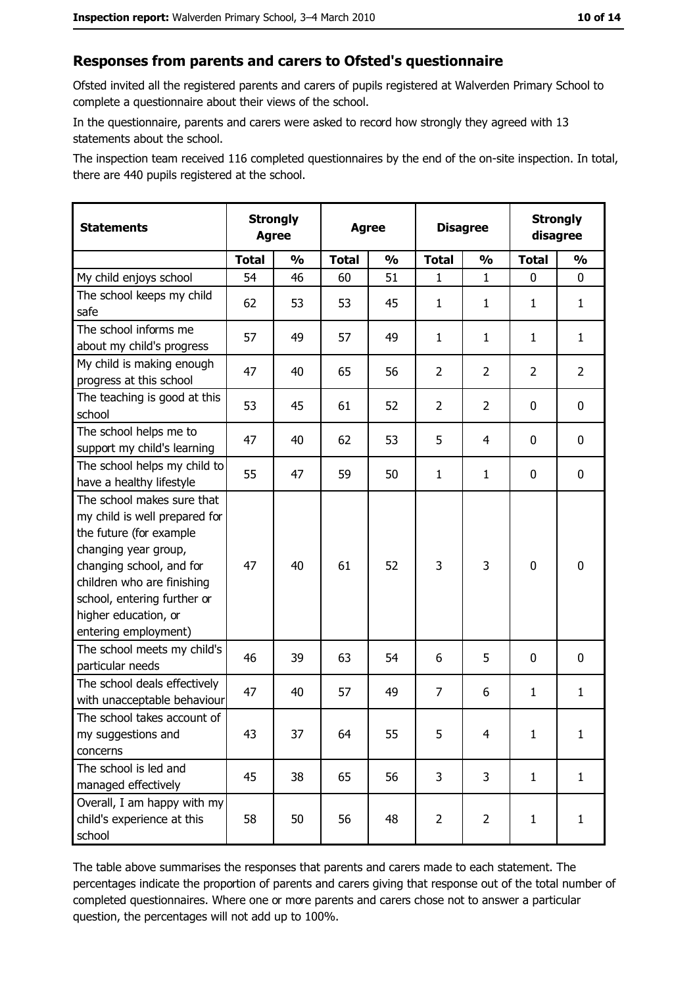#### Responses from parents and carers to Ofsted's questionnaire

Ofsted invited all the registered parents and carers of pupils registered at Walverden Primary School to complete a questionnaire about their views of the school.

In the questionnaire, parents and carers were asked to record how strongly they agreed with 13 statements about the school.

The inspection team received 116 completed questionnaires by the end of the on-site inspection. In total, there are 440 pupils registered at the school.

| <b>Statements</b>                                                                                                                                                                                                                                       | <b>Strongly</b><br><b>Agree</b> |               | <b>Agree</b> |               |                | <b>Disagree</b> |                | <b>Strongly</b><br>disagree |  |
|---------------------------------------------------------------------------------------------------------------------------------------------------------------------------------------------------------------------------------------------------------|---------------------------------|---------------|--------------|---------------|----------------|-----------------|----------------|-----------------------------|--|
|                                                                                                                                                                                                                                                         | <b>Total</b>                    | $\frac{1}{2}$ | <b>Total</b> | $\frac{0}{0}$ | <b>Total</b>   | $\frac{0}{0}$   | <b>Total</b>   | $\frac{1}{2}$               |  |
| My child enjoys school                                                                                                                                                                                                                                  | 54                              | 46            | 60           | 51            | 1              | $\mathbf 1$     | $\Omega$       | $\mathbf 0$                 |  |
| The school keeps my child<br>safe                                                                                                                                                                                                                       | 62                              | 53            | 53           | 45            | $\mathbf{1}$   | 1               | 1              | $\mathbf{1}$                |  |
| The school informs me<br>about my child's progress                                                                                                                                                                                                      | 57                              | 49            | 57           | 49            | $\mathbf{1}$   | $\mathbf{1}$    | 1              | $\mathbf{1}$                |  |
| My child is making enough<br>progress at this school                                                                                                                                                                                                    | 47                              | 40            | 65           | 56            | $\overline{2}$ | $\overline{2}$  | $\overline{2}$ | $\overline{2}$              |  |
| The teaching is good at this<br>school                                                                                                                                                                                                                  | 53                              | 45            | 61           | 52            | $\overline{2}$ | $\overline{2}$  | 0              | 0                           |  |
| The school helps me to<br>support my child's learning                                                                                                                                                                                                   | 47                              | 40            | 62           | 53            | 5              | 4               | 0              | 0                           |  |
| The school helps my child to<br>have a healthy lifestyle                                                                                                                                                                                                | 55                              | 47            | 59           | 50            | $\mathbf{1}$   | $\mathbf{1}$    | 0              | $\mathbf 0$                 |  |
| The school makes sure that<br>my child is well prepared for<br>the future (for example<br>changing year group,<br>changing school, and for<br>children who are finishing<br>school, entering further or<br>higher education, or<br>entering employment) | 47                              | 40            | 61           | 52            | 3              | 3               | $\mathbf 0$    | $\mathbf 0$                 |  |
| The school meets my child's<br>particular needs                                                                                                                                                                                                         | 46                              | 39            | 63           | 54            | 6              | 5               | 0              | 0                           |  |
| The school deals effectively<br>with unacceptable behaviour                                                                                                                                                                                             | 47                              | 40            | 57           | 49            | $\overline{7}$ | 6               | 1              | $\mathbf{1}$                |  |
| The school takes account of<br>my suggestions and<br>concerns                                                                                                                                                                                           | 43                              | 37            | 64           | 55            | 5              | 4               | $\mathbf{1}$   | $\mathbf{1}$                |  |
| The school is led and<br>managed effectively                                                                                                                                                                                                            | 45                              | 38            | 65           | 56            | 3              | 3               | $\mathbf{1}$   | $\mathbf{1}$                |  |
| Overall, I am happy with my<br>child's experience at this<br>school                                                                                                                                                                                     | 58                              | 50            | 56           | 48            | $\overline{2}$ | $\overline{2}$  | $\mathbf{1}$   | $\mathbf{1}$                |  |

The table above summarises the responses that parents and carers made to each statement. The percentages indicate the proportion of parents and carers giving that response out of the total number of completed questionnaires. Where one or more parents and carers chose not to answer a particular question, the percentages will not add up to 100%.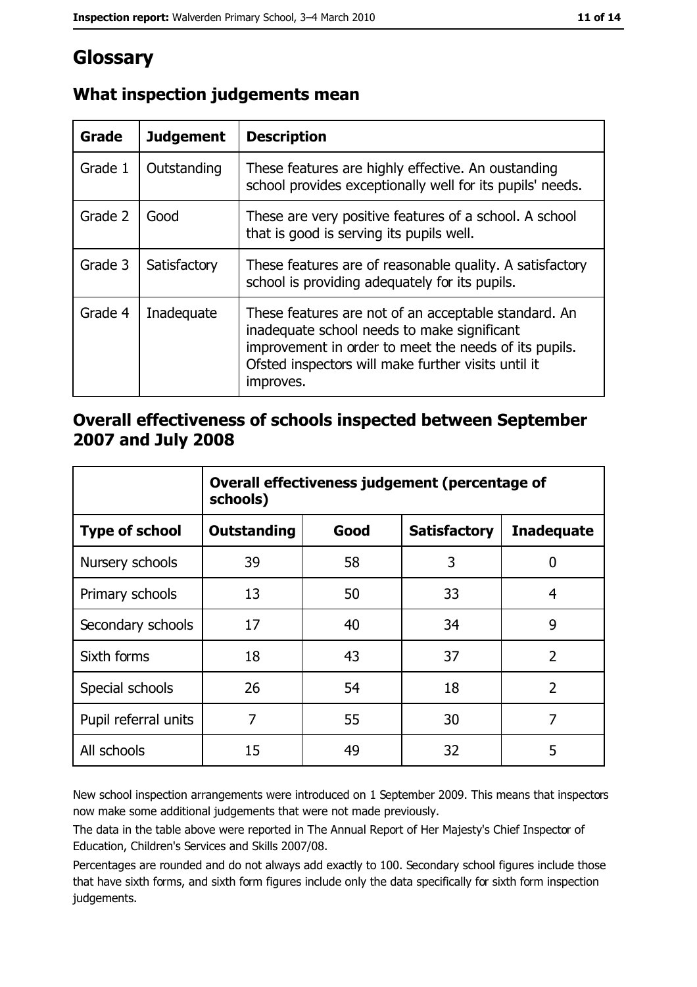# Glossary

| Grade   | <b>Judgement</b> | <b>Description</b>                                                                                                                                                                                                               |
|---------|------------------|----------------------------------------------------------------------------------------------------------------------------------------------------------------------------------------------------------------------------------|
| Grade 1 | Outstanding      | These features are highly effective. An oustanding<br>school provides exceptionally well for its pupils' needs.                                                                                                                  |
| Grade 2 | Good             | These are very positive features of a school. A school<br>that is good is serving its pupils well.                                                                                                                               |
| Grade 3 | Satisfactory     | These features are of reasonable quality. A satisfactory<br>school is providing adequately for its pupils.                                                                                                                       |
| Grade 4 | Inadequate       | These features are not of an acceptable standard. An<br>inadequate school needs to make significant<br>improvement in order to meet the needs of its pupils.<br>Ofsted inspectors will make further visits until it<br>improves. |

## What inspection judgements mean

## Overall effectiveness of schools inspected between September 2007 and July 2008

|                       | Overall effectiveness judgement (percentage of<br>schools) |      |                     |                   |
|-----------------------|------------------------------------------------------------|------|---------------------|-------------------|
| <b>Type of school</b> | <b>Outstanding</b>                                         | Good | <b>Satisfactory</b> | <b>Inadequate</b> |
| Nursery schools       | 39                                                         | 58   | 3                   | 0                 |
| Primary schools       | 13                                                         | 50   | 33                  | 4                 |
| Secondary schools     | 17                                                         | 40   | 34                  | 9                 |
| Sixth forms           | 18                                                         | 43   | 37                  | $\overline{2}$    |
| Special schools       | 26                                                         | 54   | 18                  | $\overline{2}$    |
| Pupil referral units  | 7                                                          | 55   | 30                  | 7                 |
| All schools           | 15                                                         | 49   | 32                  | 5                 |

New school inspection arrangements were introduced on 1 September 2009. This means that inspectors now make some additional judgements that were not made previously.

The data in the table above were reported in The Annual Report of Her Majesty's Chief Inspector of Education, Children's Services and Skills 2007/08.

Percentages are rounded and do not always add exactly to 100. Secondary school figures include those that have sixth forms, and sixth form figures include only the data specifically for sixth form inspection judgements.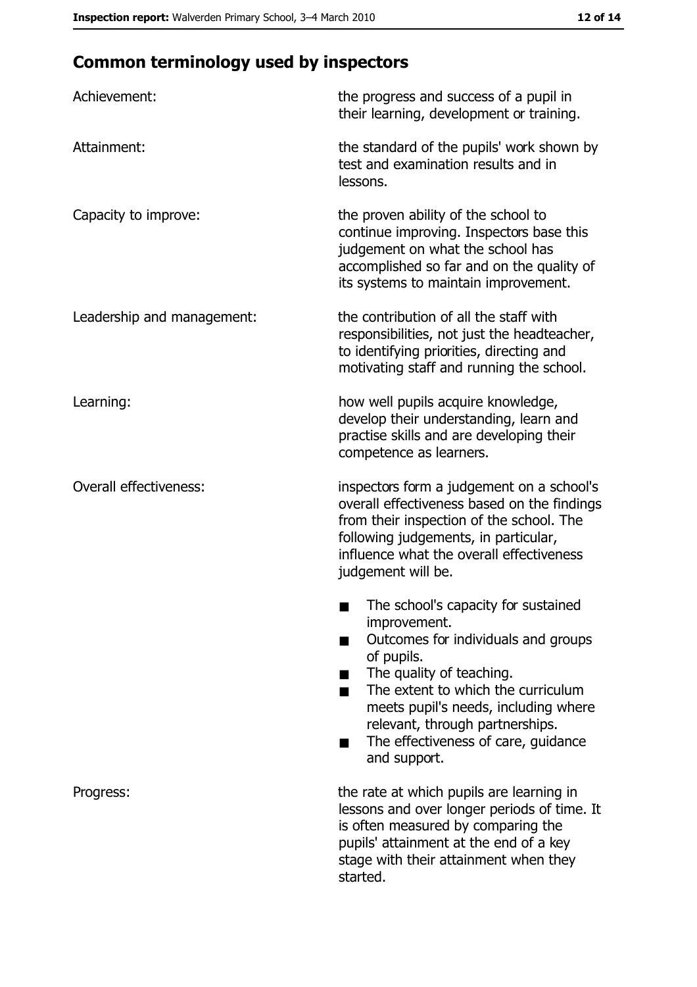# **Common terminology used by inspectors**

| Achievement:                  | the progress and success of a pupil in<br>their learning, development or training.                                                                                                                                                                                                                           |
|-------------------------------|--------------------------------------------------------------------------------------------------------------------------------------------------------------------------------------------------------------------------------------------------------------------------------------------------------------|
| Attainment:                   | the standard of the pupils' work shown by<br>test and examination results and in<br>lessons.                                                                                                                                                                                                                 |
| Capacity to improve:          | the proven ability of the school to<br>continue improving. Inspectors base this<br>judgement on what the school has<br>accomplished so far and on the quality of<br>its systems to maintain improvement.                                                                                                     |
| Leadership and management:    | the contribution of all the staff with<br>responsibilities, not just the headteacher,<br>to identifying priorities, directing and<br>motivating staff and running the school.                                                                                                                                |
| Learning:                     | how well pupils acquire knowledge,<br>develop their understanding, learn and<br>practise skills and are developing their<br>competence as learners.                                                                                                                                                          |
| <b>Overall effectiveness:</b> | inspectors form a judgement on a school's<br>overall effectiveness based on the findings<br>from their inspection of the school. The<br>following judgements, in particular,<br>influence what the overall effectiveness<br>judgement will be.                                                               |
|                               | The school's capacity for sustained<br>improvement.<br>Outcomes for individuals and groups<br>of pupils.<br>The quality of teaching.<br>The extent to which the curriculum<br>meets pupil's needs, including where<br>relevant, through partnerships.<br>The effectiveness of care, guidance<br>and support. |
| Progress:                     | the rate at which pupils are learning in<br>lessons and over longer periods of time. It<br>is often measured by comparing the<br>pupils' attainment at the end of a key<br>stage with their attainment when they<br>started.                                                                                 |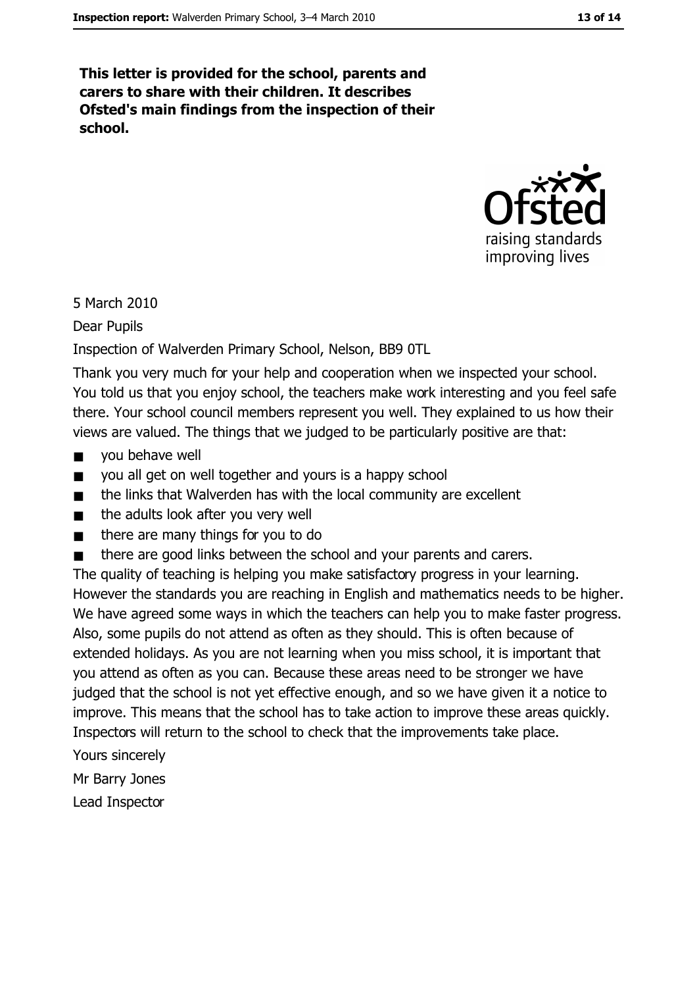This letter is provided for the school, parents and carers to share with their children. It describes Ofsted's main findings from the inspection of their school.



5 March 2010

**Dear Pupils** 

Inspection of Walverden Primary School, Nelson, BB9 OTL

Thank you very much for your help and cooperation when we inspected your school. You told us that you enjoy school, the teachers make work interesting and you feel safe there. Your school council members represent you well. They explained to us how their views are valued. The things that we judged to be particularly positive are that:

- you behave well  $\blacksquare$
- you all get on well together and yours is a happy school  $\blacksquare$
- the links that Walverden has with the local community are excellent  $\blacksquare$
- the adults look after you very well  $\blacksquare$
- there are many things for you to do  $\blacksquare$
- there are good links between the school and your parents and carers.

The quality of teaching is helping you make satisfactory progress in your learning. However the standards you are reaching in English and mathematics needs to be higher. We have agreed some ways in which the teachers can help you to make faster progress. Also, some pupils do not attend as often as they should. This is often because of extended holidays. As you are not learning when you miss school, it is important that you attend as often as you can. Because these areas need to be stronger we have judged that the school is not yet effective enough, and so we have given it a notice to improve. This means that the school has to take action to improve these areas quickly. Inspectors will return to the school to check that the improvements take place.

Yours sincerely

Mr Barry Jones

Lead Inspector